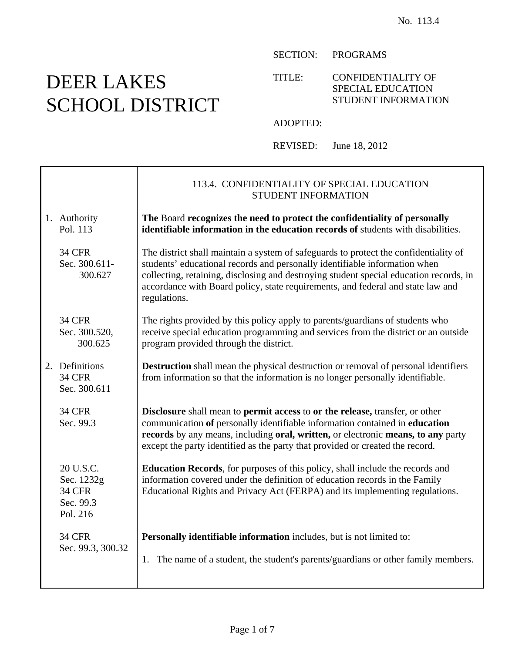### SECTION: PROGRAMS

#### TITLE: CONFIDENTIALITY OF SPECIAL EDUCATION STUDENT INFORMATION

#### ADOPTED:

REVISED: June 18, 2012

|                                                                   | 113.4. CONFIDENTIALITY OF SPECIAL EDUCATION<br>STUDENT INFORMATION                                                                                                                                                                                                                                                                                              |
|-------------------------------------------------------------------|-----------------------------------------------------------------------------------------------------------------------------------------------------------------------------------------------------------------------------------------------------------------------------------------------------------------------------------------------------------------|
| 1. Authority<br>Pol. 113                                          | The Board recognizes the need to protect the confidentiality of personally<br>identifiable information in the education records of students with disabilities.                                                                                                                                                                                                  |
| <b>34 CFR</b><br>Sec. 300.611-<br>300.627                         | The district shall maintain a system of safeguards to protect the confidentiality of<br>students' educational records and personally identifiable information when<br>collecting, retaining, disclosing and destroying student special education records, in<br>accordance with Board policy, state requirements, and federal and state law and<br>regulations. |
| <b>34 CFR</b><br>Sec. 300.520,<br>300.625                         | The rights provided by this policy apply to parents/guardians of students who<br>receive special education programming and services from the district or an outside<br>program provided through the district.                                                                                                                                                   |
| 2. Definitions<br><b>34 CFR</b><br>Sec. 300.611                   | <b>Destruction</b> shall mean the physical destruction or removal of personal identifiers<br>from information so that the information is no longer personally identifiable.                                                                                                                                                                                     |
| <b>34 CFR</b><br>Sec. 99.3                                        | Disclosure shall mean to permit access to or the release, transfer, or other<br>communication of personally identifiable information contained in education<br>records by any means, including oral, written, or electronic means, to any party<br>except the party identified as the party that provided or created the record.                                |
| 20 U.S.C.<br>Sec. 1232g<br><b>34 CFR</b><br>Sec. 99.3<br>Pol. 216 | <b>Education Records</b> , for purposes of this policy, shall include the records and<br>information covered under the definition of education records in the Family<br>Educational Rights and Privacy Act (FERPA) and its implementing regulations.                                                                                                            |
| <b>34 CFR</b><br>Sec. 99.3, 300.32                                | Personally identifiable information includes, but is not limited to:<br>1. The name of a student, the student's parents/guardians or other family members.                                                                                                                                                                                                      |

#### Page 1 of 7

# DEER LAKES SCHOOL DISTRICT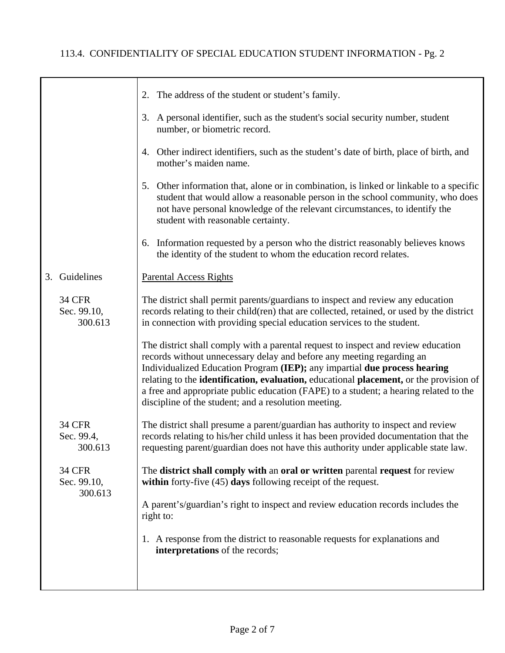|                                         | 2. The address of the student or student's family.                                                                                                                                                                                                                                                                                                                                                                                                                                 |
|-----------------------------------------|------------------------------------------------------------------------------------------------------------------------------------------------------------------------------------------------------------------------------------------------------------------------------------------------------------------------------------------------------------------------------------------------------------------------------------------------------------------------------------|
|                                         | 3. A personal identifier, such as the student's social security number, student<br>number, or biometric record.                                                                                                                                                                                                                                                                                                                                                                    |
|                                         | Other indirect identifiers, such as the student's date of birth, place of birth, and<br>4.<br>mother's maiden name.                                                                                                                                                                                                                                                                                                                                                                |
|                                         | 5. Other information that, alone or in combination, is linked or linkable to a specific<br>student that would allow a reasonable person in the school community, who does<br>not have personal knowledge of the relevant circumstances, to identify the<br>student with reasonable certainty.                                                                                                                                                                                      |
|                                         | 6. Information requested by a person who the district reasonably believes knows<br>the identity of the student to whom the education record relates.                                                                                                                                                                                                                                                                                                                               |
| Guidelines<br>3.                        | <b>Parental Access Rights</b>                                                                                                                                                                                                                                                                                                                                                                                                                                                      |
| <b>34 CFR</b><br>Sec. 99.10,<br>300.613 | The district shall permit parents/guardians to inspect and review any education<br>records relating to their child(ren) that are collected, retained, or used by the district<br>in connection with providing special education services to the student.                                                                                                                                                                                                                           |
|                                         | The district shall comply with a parental request to inspect and review education<br>records without unnecessary delay and before any meeting regarding an<br>Individualized Education Program (IEP); any impartial due process hearing<br>relating to the identification, evaluation, educational placement, or the provision of<br>a free and appropriate public education (FAPE) to a student; a hearing related to the<br>discipline of the student; and a resolution meeting. |
| <b>34 CFR</b><br>Sec. 99.4,<br>300.613  | The district shall presume a parent/guardian has authority to inspect and review<br>records relating to his/her child unless it has been provided documentation that the<br>requesting parent/guardian does not have this authority under applicable state law.                                                                                                                                                                                                                    |
| <b>34 CFR</b><br>Sec. 99.10,<br>300.613 | The district shall comply with an oral or written parental request for review<br>within forty-five $(45)$ days following receipt of the request.                                                                                                                                                                                                                                                                                                                                   |
|                                         | A parent's/guardian's right to inspect and review education records includes the<br>right to:                                                                                                                                                                                                                                                                                                                                                                                      |
|                                         | 1. A response from the district to reasonable requests for explanations and<br>interpretations of the records;                                                                                                                                                                                                                                                                                                                                                                     |
|                                         |                                                                                                                                                                                                                                                                                                                                                                                                                                                                                    |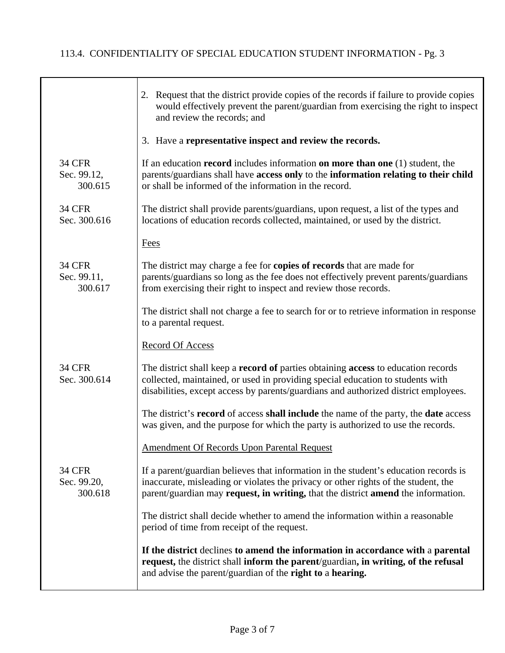|                                         | 2. Request that the district provide copies of the records if failure to provide copies<br>would effectively prevent the parent/guardian from exercising the right to inspect<br>and review the records; and                                                             |
|-----------------------------------------|--------------------------------------------------------------------------------------------------------------------------------------------------------------------------------------------------------------------------------------------------------------------------|
|                                         | 3. Have a representative inspect and review the records.                                                                                                                                                                                                                 |
| <b>34 CFR</b><br>Sec. 99.12,<br>300.615 | If an education record includes information on more than one $(1)$ student, the<br>parents/guardians shall have access only to the information relating to their child<br>or shall be informed of the information in the record.                                         |
| <b>34 CFR</b><br>Sec. 300.616           | The district shall provide parents/guardians, upon request, a list of the types and<br>locations of education records collected, maintained, or used by the district.                                                                                                    |
|                                         | <b>Fees</b>                                                                                                                                                                                                                                                              |
| <b>34 CFR</b><br>Sec. 99.11,<br>300.617 | The district may charge a fee for <b>copies of records</b> that are made for<br>parents/guardians so long as the fee does not effectively prevent parents/guardians<br>from exercising their right to inspect and review those records.                                  |
|                                         | The district shall not charge a fee to search for or to retrieve information in response<br>to a parental request.                                                                                                                                                       |
|                                         | <b>Record Of Access</b>                                                                                                                                                                                                                                                  |
| <b>34 CFR</b><br>Sec. 300.614           | The district shall keep a <b>record of</b> parties obtaining <b>access</b> to education records<br>collected, maintained, or used in providing special education to students with<br>disabilities, except access by parents/guardians and authorized district employees. |
|                                         | The district's <b>record</b> of access <b>shall include</b> the name of the party, the <b>date</b> access<br>was given, and the purpose for which the party is authorized to use the records.                                                                            |
|                                         | <b>Amendment Of Records Upon Parental Request</b>                                                                                                                                                                                                                        |
| <b>34 CFR</b><br>Sec. 99.20,<br>300.618 | If a parent/guardian believes that information in the student's education records is<br>inaccurate, misleading or violates the privacy or other rights of the student, the<br>parent/guardian may request, in writing, that the district amend the information.          |
|                                         | The district shall decide whether to amend the information within a reasonable<br>period of time from receipt of the request.                                                                                                                                            |
|                                         | If the district declines to amend the information in accordance with a parental<br>request, the district shall inform the parent/guardian, in writing, of the refusal<br>and advise the parent/guardian of the right to a hearing.                                       |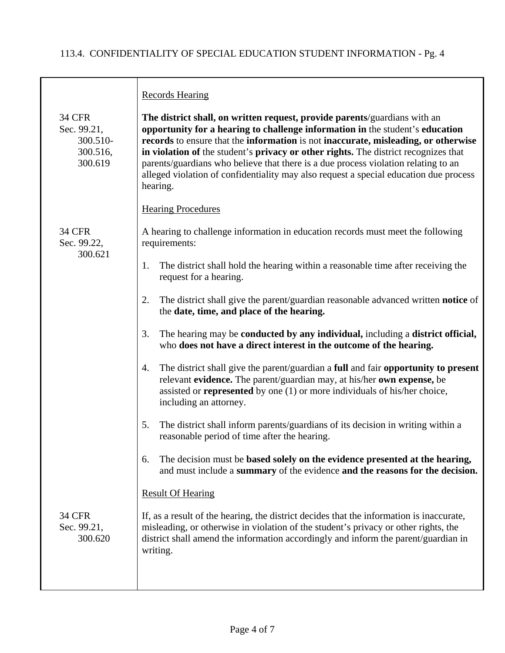|                                                                 | <b>Records Hearing</b>                                                                                                                                                                                                                                                                                                                                                                                                                                                                                                             |
|-----------------------------------------------------------------|------------------------------------------------------------------------------------------------------------------------------------------------------------------------------------------------------------------------------------------------------------------------------------------------------------------------------------------------------------------------------------------------------------------------------------------------------------------------------------------------------------------------------------|
| <b>34 CFR</b><br>Sec. 99.21,<br>300.510-<br>300.516,<br>300.619 | The district shall, on written request, provide parents/guardians with an<br>opportunity for a hearing to challenge information in the student's education<br>records to ensure that the information is not inaccurate, misleading, or otherwise<br>in violation of the student's privacy or other rights. The district recognizes that<br>parents/guardians who believe that there is a due process violation relating to an<br>alleged violation of confidentiality may also request a special education due process<br>hearing. |
|                                                                 | <b>Hearing Procedures</b>                                                                                                                                                                                                                                                                                                                                                                                                                                                                                                          |
| <b>34 CFR</b><br>Sec. 99.22,<br>300.621                         | A hearing to challenge information in education records must meet the following<br>requirements:                                                                                                                                                                                                                                                                                                                                                                                                                                   |
|                                                                 | The district shall hold the hearing within a reasonable time after receiving the<br>1.<br>request for a hearing.                                                                                                                                                                                                                                                                                                                                                                                                                   |
|                                                                 | The district shall give the parent/guardian reasonable advanced written notice of<br>2.<br>the date, time, and place of the hearing.                                                                                                                                                                                                                                                                                                                                                                                               |
|                                                                 | The hearing may be conducted by any individual, including a district official,<br>3.<br>who does not have a direct interest in the outcome of the hearing.                                                                                                                                                                                                                                                                                                                                                                         |
|                                                                 | The district shall give the parent/guardian a full and fair opportunity to present<br>4.<br>relevant evidence. The parent/guardian may, at his/her own expense, be<br>assisted or <b>represented</b> by one $(1)$ or more individuals of his/her choice,<br>including an attorney.                                                                                                                                                                                                                                                 |
|                                                                 | The district shall inform parents/guardians of its decision in writing within a<br>5.<br>reasonable period of time after the hearing.                                                                                                                                                                                                                                                                                                                                                                                              |
|                                                                 | The decision must be based solely on the evidence presented at the hearing,<br>6.<br>and must include a summary of the evidence and the reasons for the decision.                                                                                                                                                                                                                                                                                                                                                                  |
|                                                                 | <b>Result Of Hearing</b>                                                                                                                                                                                                                                                                                                                                                                                                                                                                                                           |
| <b>34 CFR</b><br>Sec. 99.21,<br>300.620                         | If, as a result of the hearing, the district decides that the information is inaccurate,<br>misleading, or otherwise in violation of the student's privacy or other rights, the<br>district shall amend the information accordingly and inform the parent/guardian in<br>writing.                                                                                                                                                                                                                                                  |
|                                                                 |                                                                                                                                                                                                                                                                                                                                                                                                                                                                                                                                    |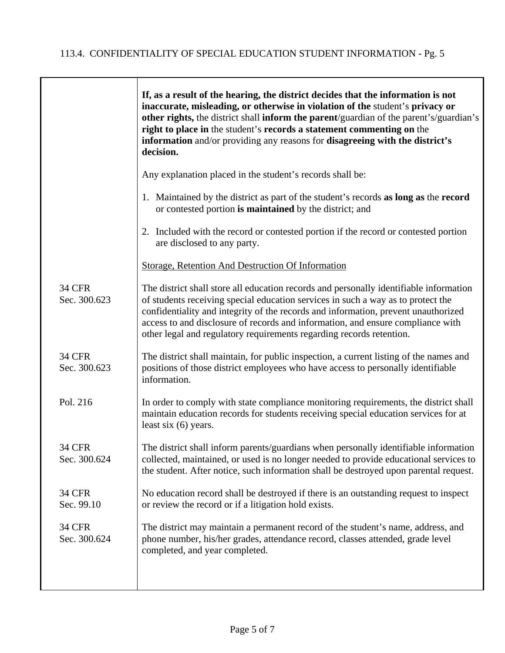|                               | If, as a result of the hearing, the district decides that the information is not<br>inaccurate, misleading, or otherwise in violation of the student's privacy or<br>other rights, the district shall inform the parent/guardian of the parent's/guardian's<br>right to place in the student's records a statement commenting on the<br>information and/or providing any reasons for disagreeing with the district's<br>decision. |
|-------------------------------|-----------------------------------------------------------------------------------------------------------------------------------------------------------------------------------------------------------------------------------------------------------------------------------------------------------------------------------------------------------------------------------------------------------------------------------|
|                               | Any explanation placed in the student's records shall be:                                                                                                                                                                                                                                                                                                                                                                         |
|                               | 1. Maintained by the district as part of the student's records as long as the record<br>or contested portion is maintained by the district; and                                                                                                                                                                                                                                                                                   |
|                               | 2. Included with the record or contested portion if the record or contested portion<br>are disclosed to any party.                                                                                                                                                                                                                                                                                                                |
|                               | <b>Storage, Retention And Destruction Of Information</b>                                                                                                                                                                                                                                                                                                                                                                          |
| <b>34 CFR</b><br>Sec. 300.623 | The district shall store all education records and personally identifiable information<br>of students receiving special education services in such a way as to protect the<br>confidentiality and integrity of the records and information, prevent unauthorized<br>access to and disclosure of records and information, and ensure compliance with<br>other legal and regulatory requirements regarding records retention.       |
| <b>34 CFR</b><br>Sec. 300.623 | The district shall maintain, for public inspection, a current listing of the names and<br>positions of those district employees who have access to personally identifiable<br>information.                                                                                                                                                                                                                                        |
| Pol. 216                      | In order to comply with state compliance monitoring requirements, the district shall<br>maintain education records for students receiving special education services for at<br>least six $(6)$ years.                                                                                                                                                                                                                             |
| 34 CFR<br>Sec. 300.624        | The district shall inform parents/guardians when personally identifiable information<br>collected, maintained, or used is no longer needed to provide educational services to<br>the student. After notice, such information shall be destroyed upon parental request.                                                                                                                                                            |
| <b>34 CFR</b><br>Sec. 99.10   | No education record shall be destroyed if there is an outstanding request to inspect<br>or review the record or if a litigation hold exists.                                                                                                                                                                                                                                                                                      |
| <b>34 CFR</b><br>Sec. 300.624 | The district may maintain a permanent record of the student's name, address, and<br>phone number, his/her grades, attendance record, classes attended, grade level<br>completed, and year completed.                                                                                                                                                                                                                              |
|                               |                                                                                                                                                                                                                                                                                                                                                                                                                                   |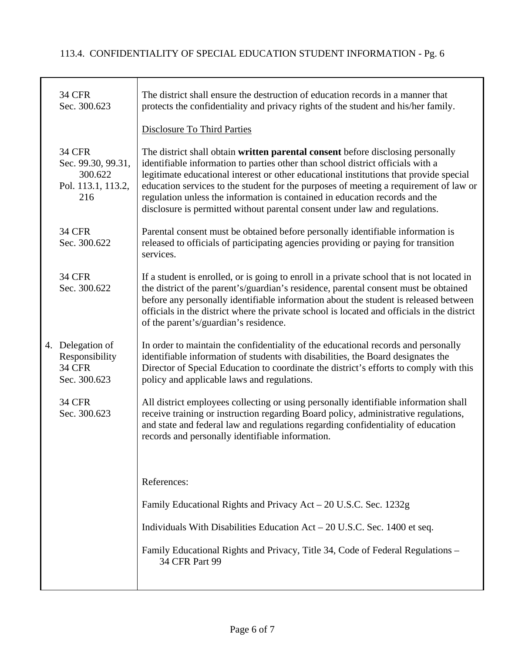| <b>34 CFR</b><br>Sec. 300.623                                               | The district shall ensure the destruction of education records in a manner that<br>protects the confidentiality and privacy rights of the student and his/her family.                                                                                                                                                                                                                                                                                                                                               |
|-----------------------------------------------------------------------------|---------------------------------------------------------------------------------------------------------------------------------------------------------------------------------------------------------------------------------------------------------------------------------------------------------------------------------------------------------------------------------------------------------------------------------------------------------------------------------------------------------------------|
|                                                                             | <b>Disclosure To Third Parties</b>                                                                                                                                                                                                                                                                                                                                                                                                                                                                                  |
| <b>34 CFR</b><br>Sec. 99.30, 99.31,<br>300.622<br>Pol. 113.1, 113.2,<br>216 | The district shall obtain written parental consent before disclosing personally<br>identifiable information to parties other than school district officials with a<br>legitimate educational interest or other educational institutions that provide special<br>education services to the student for the purposes of meeting a requirement of law or<br>regulation unless the information is contained in education records and the<br>disclosure is permitted without parental consent under law and regulations. |
| <b>34 CFR</b><br>Sec. 300.622                                               | Parental consent must be obtained before personally identifiable information is<br>released to officials of participating agencies providing or paying for transition<br>services.                                                                                                                                                                                                                                                                                                                                  |
| <b>34 CFR</b><br>Sec. 300.622                                               | If a student is enrolled, or is going to enroll in a private school that is not located in<br>the district of the parent's/guardian's residence, parental consent must be obtained<br>before any personally identifiable information about the student is released between<br>officials in the district where the private school is located and officials in the district<br>of the parent's/guardian's residence.                                                                                                  |
| 4. Delegation of<br>Responsibility<br><b>34 CFR</b><br>Sec. 300.623         | In order to maintain the confidentiality of the educational records and personally<br>identifiable information of students with disabilities, the Board designates the<br>Director of Special Education to coordinate the district's efforts to comply with this<br>policy and applicable laws and regulations.                                                                                                                                                                                                     |
| <b>34 CFR</b><br>Sec. 300.623                                               | All district employees collecting or using personally identifiable information shall<br>receive training or instruction regarding Board policy, administrative regulations,<br>and state and federal law and regulations regarding confidentiality of education<br>records and personally identifiable information.                                                                                                                                                                                                 |
|                                                                             | References:                                                                                                                                                                                                                                                                                                                                                                                                                                                                                                         |
|                                                                             | Family Educational Rights and Privacy Act – 20 U.S.C. Sec. 1232g                                                                                                                                                                                                                                                                                                                                                                                                                                                    |
|                                                                             | Individuals With Disabilities Education $Act - 20$ U.S.C. Sec. 1400 et seq.                                                                                                                                                                                                                                                                                                                                                                                                                                         |
|                                                                             | Family Educational Rights and Privacy, Title 34, Code of Federal Regulations –<br>34 CFR Part 99                                                                                                                                                                                                                                                                                                                                                                                                                    |
|                                                                             |                                                                                                                                                                                                                                                                                                                                                                                                                                                                                                                     |